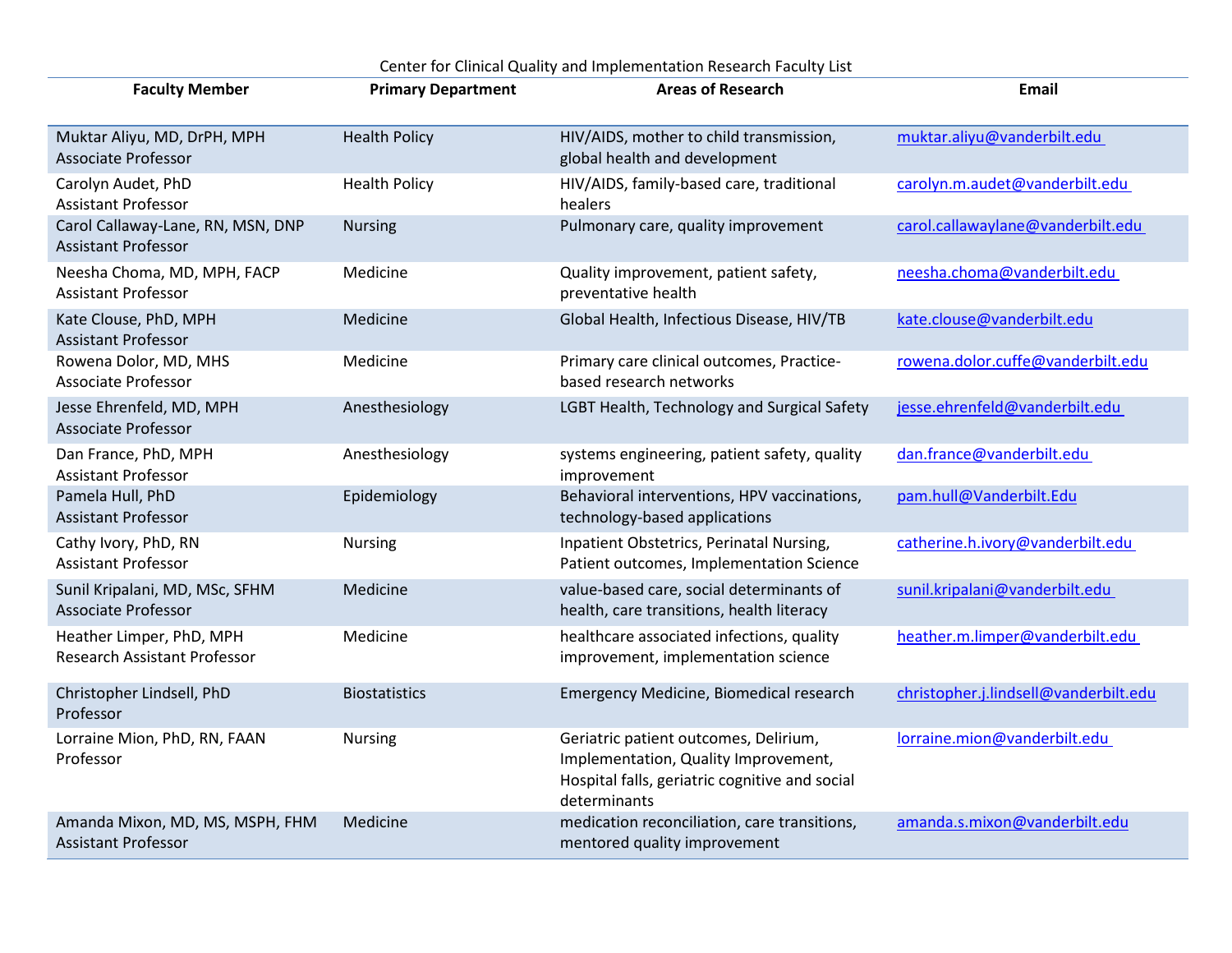| <b>Faculty Member</b>                                           | <b>Primary Department</b> | <b>Areas of Research</b>                                                                                                                        | Email                                 |
|-----------------------------------------------------------------|---------------------------|-------------------------------------------------------------------------------------------------------------------------------------------------|---------------------------------------|
| Muktar Aliyu, MD, DrPH, MPH<br><b>Associate Professor</b>       | <b>Health Policy</b>      | HIV/AIDS, mother to child transmission,<br>global health and development                                                                        | muktar.aliyu@vanderbilt.edu           |
| Carolyn Audet, PhD<br>Assistant Professor                       | <b>Health Policy</b>      | HIV/AIDS, family-based care, traditional<br>healers                                                                                             | carolyn.m.audet@vanderbilt.edu        |
| Carol Callaway-Lane, RN, MSN, DNP<br><b>Assistant Professor</b> | <b>Nursing</b>            | Pulmonary care, quality improvement                                                                                                             | carol.callawaylane@vanderbilt.edu     |
| Neesha Choma, MD, MPH, FACP<br><b>Assistant Professor</b>       | Medicine                  | Quality improvement, patient safety,<br>preventative health                                                                                     | neesha.choma@vanderbilt.edu           |
| Kate Clouse, PhD, MPH<br><b>Assistant Professor</b>             | Medicine                  | Global Health, Infectious Disease, HIV/TB                                                                                                       | kate.clouse@vanderbilt.edu            |
| Rowena Dolor, MD, MHS<br><b>Associate Professor</b>             | Medicine                  | Primary care clinical outcomes, Practice-<br>based research networks                                                                            | rowena.dolor.cuffe@vanderbilt.edu     |
| Jesse Ehrenfeld, MD, MPH<br><b>Associate Professor</b>          | Anesthesiology            | LGBT Health, Technology and Surgical Safety                                                                                                     | jesse.ehrenfeld@vanderbilt.edu        |
| Dan France, PhD, MPH<br><b>Assistant Professor</b>              | Anesthesiology            | systems engineering, patient safety, quality<br>improvement                                                                                     | dan.france@vanderbilt.edu             |
| Pamela Hull, PhD<br><b>Assistant Professor</b>                  | Epidemiology              | Behavioral interventions, HPV vaccinations,<br>technology-based applications                                                                    | pam.hull@Vanderbilt.Edu               |
| Cathy Ivory, PhD, RN<br><b>Assistant Professor</b>              | <b>Nursing</b>            | Inpatient Obstetrics, Perinatal Nursing,<br>Patient outcomes, Implementation Science                                                            | catherine.h.ivory@vanderbilt.edu      |
| Sunil Kripalani, MD, MSc, SFHM<br><b>Associate Professor</b>    | Medicine                  | value-based care, social determinants of<br>health, care transitions, health literacy                                                           | sunil.kripalani@vanderbilt.edu        |
| Heather Limper, PhD, MPH<br>Research Assistant Professor        | Medicine                  | healthcare associated infections, quality<br>improvement, implementation science                                                                | heather.m.limper@vanderbilt.edu       |
| Christopher Lindsell, PhD<br>Professor                          | <b>Biostatistics</b>      | Emergency Medicine, Biomedical research                                                                                                         | christopher.j.lindsell@vanderbilt.edu |
| Lorraine Mion, PhD, RN, FAAN<br>Professor                       | <b>Nursing</b>            | Geriatric patient outcomes, Delirium,<br>Implementation, Quality Improvement,<br>Hospital falls, geriatric cognitive and social<br>determinants | lorraine.mion@vanderbilt.edu          |
| Amanda Mixon, MD, MS, MSPH, FHM<br><b>Assistant Professor</b>   | Medicine                  | medication reconciliation, care transitions,<br>mentored quality improvement                                                                    | amanda.s.mixon@vanderbilt.edu         |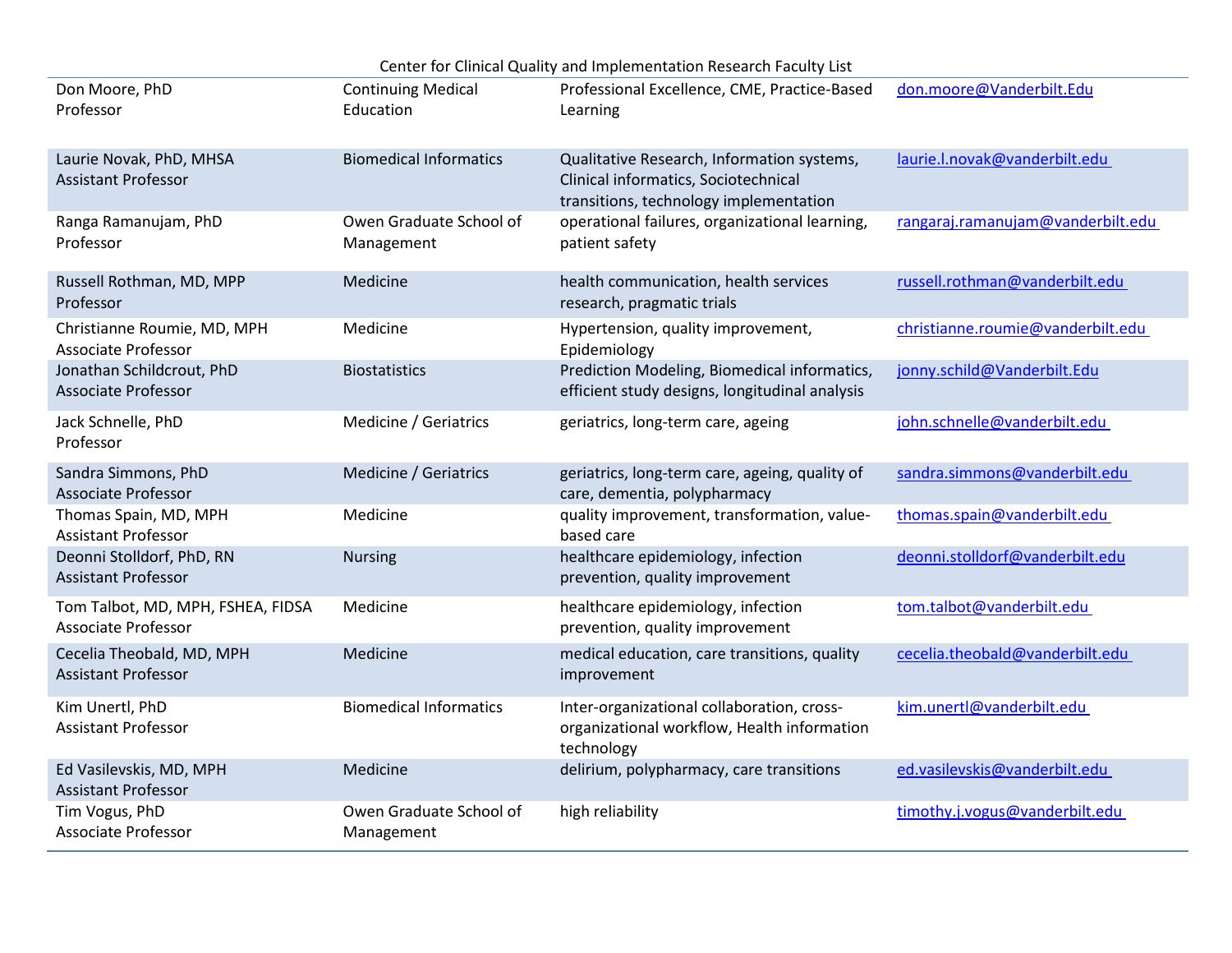| Center for Clinical Quality and Implementation Research Faculty List |                                        |                                                                                                                              |                                   |  |  |  |
|----------------------------------------------------------------------|----------------------------------------|------------------------------------------------------------------------------------------------------------------------------|-----------------------------------|--|--|--|
| Don Moore, PhD<br>Professor                                          | <b>Continuing Medical</b><br>Education | Professional Excellence, CME, Practice-Based<br>Learning                                                                     | don.moore@Vanderbilt.Edu          |  |  |  |
| Laurie Novak, PhD, MHSA<br><b>Assistant Professor</b>                | <b>Biomedical Informatics</b>          | Qualitative Research, Information systems,<br>Clinical informatics, Sociotechnical<br>transitions, technology implementation | laurie.l.novak@vanderbilt.edu     |  |  |  |
| Ranga Ramanujam, PhD<br>Professor                                    | Owen Graduate School of<br>Management  | operational failures, organizational learning,<br>patient safety                                                             | rangaraj.ramanujam@vanderbilt.edu |  |  |  |
| Russell Rothman, MD, MPP<br>Professor                                | Medicine                               | health communication, health services<br>research, pragmatic trials                                                          | russell.rothman@vanderbilt.edu    |  |  |  |
| Christianne Roumie, MD, MPH<br><b>Associate Professor</b>            | Medicine                               | Hypertension, quality improvement,<br>Epidemiology                                                                           | christianne.roumie@vanderbilt.edu |  |  |  |
| Jonathan Schildcrout, PhD<br>Associate Professor                     | <b>Biostatistics</b>                   | Prediction Modeling, Biomedical informatics,<br>efficient study designs, longitudinal analysis                               | jonny.schild@Vanderbilt.Edu       |  |  |  |
| Jack Schnelle, PhD<br>Professor                                      | Medicine / Geriatrics                  | geriatrics, long-term care, ageing                                                                                           | john.schnelle@vanderbilt.edu      |  |  |  |
| Sandra Simmons, PhD<br><b>Associate Professor</b>                    | Medicine / Geriatrics                  | geriatrics, long-term care, ageing, quality of<br>care, dementia, polypharmacy                                               | sandra.simmons@vanderbilt.edu     |  |  |  |
| Thomas Spain, MD, MPH<br><b>Assistant Professor</b>                  | Medicine                               | quality improvement, transformation, value-<br>based care                                                                    | thomas.spain@vanderbilt.edu       |  |  |  |
| Deonni Stolldorf, PhD, RN<br><b>Assistant Professor</b>              | <b>Nursing</b>                         | healthcare epidemiology, infection<br>prevention, quality improvement                                                        | deonni.stolldorf@vanderbilt.edu   |  |  |  |
| Tom Talbot, MD, MPH, FSHEA, FIDSA<br>Associate Professor             | Medicine                               | healthcare epidemiology, infection<br>prevention, quality improvement                                                        | tom.talbot@vanderbilt.edu         |  |  |  |
| Cecelia Theobald, MD, MPH<br><b>Assistant Professor</b>              | Medicine                               | medical education, care transitions, quality<br>improvement                                                                  | cecelia.theobald@vanderbilt.edu   |  |  |  |
| Kim Unertl, PhD<br><b>Assistant Professor</b>                        | <b>Biomedical Informatics</b>          | Inter-organizational collaboration, cross-<br>organizational workflow, Health information<br>technology                      | kim.unertl@vanderbilt.edu         |  |  |  |
| Ed Vasilevskis, MD, MPH<br><b>Assistant Professor</b>                | Medicine                               | delirium, polypharmacy, care transitions                                                                                     | ed.vasilevskis@vanderbilt.edu     |  |  |  |
| Tim Vogus, PhD<br><b>Associate Professor</b>                         | Owen Graduate School of<br>Management  | high reliability                                                                                                             | timothy.j.vogus@vanderbilt.edu    |  |  |  |